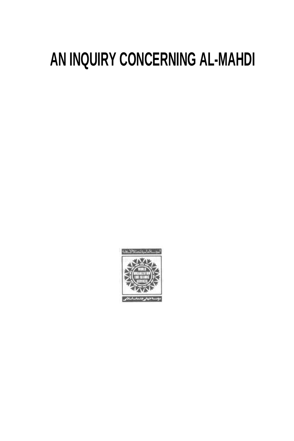# **AN INQUIRY CONCERNING AL-MAHDI**

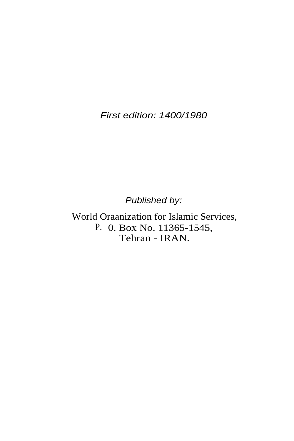First edition: 1400/1980

Published by:

World Oraanization for Islamic Services, P. 0. Box No. 11365-1545, Tehran - IRAN.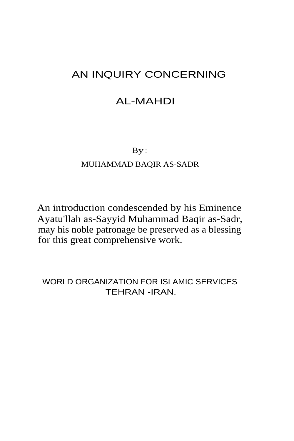# AN INQUIRY CONCERNING

# AL-MAHDI

By :

## MUHAMMAD BAQIR AS-SADR

An introduction condescended by his Eminence Ayatu'llah as-Sayyid Muhammad Baqir as-Sadr, may his noble patronage be preserved as a blessing for this great comprehensive work.

WORLD ORGANIZATION FOR ISLAMIC SERVICES TEHRAN -IRAN.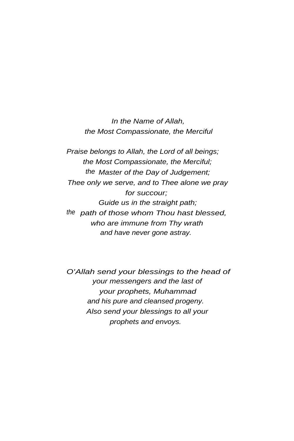In the Name of Allah, the Most Compassionate, the Merciful

Praise belongs to Allah, the Lord of all beings; the Most Compassionate, the Merciful; the Master of the Day of Judgement; Thee only we serve, and to Thee alone we pray for succour; Guide us in the straight path; the path of those whom Thou hast blessed, who are immune from Thy wrath and have never gone astray.

O'Allah send your blessings to the head of your messengers and the last of your prophets, Muhammad and his pure and cleansed progeny. Also send your blessings to all your prophets and envoys.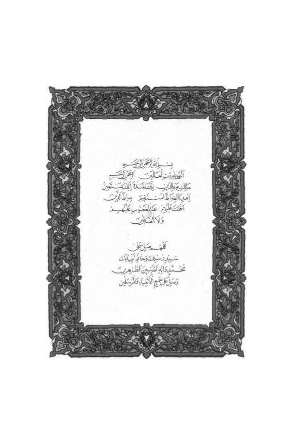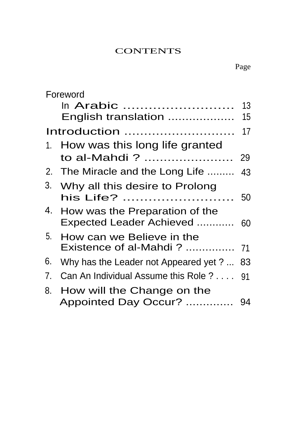## **CONTENTS**

|              | Foreword                                                   |          |
|--------------|------------------------------------------------------------|----------|
|              | ln Arabic<br>English translation                           | 13<br>15 |
| Introduction |                                                            | 17       |
|              | 1. How was this long life granted<br>to al-Mahdi ?         | 29       |
|              | 2. The Miracle and the Long Life                           | 43       |
| 3.           | Why all this desire to Prolong<br>his Life?                | 50       |
| 4.           | How was the Preparation of the<br>Expected Leader Achieved | 60       |
| 5.           | How can we Believe in the                                  |          |
| 6.           | Why has the Leader not Appeared yet ?  83                  |          |
| 7.           | Can An Individual Assume this Role ?  91                   |          |
| 8.           | How will the Change on the<br>Appointed Day Occur?         | 94       |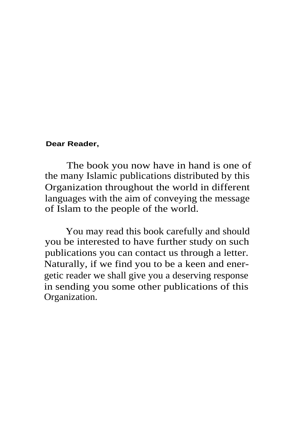#### **Dear Reader,**

The book you now have in hand is one of the many Islamic publications distributed by this Organization throughout the world in different languages with the aim of conveying the message of Islam to the people of the world.

You may read this book carefully and should you be interested to have further study on such publications you can contact us through a letter. Naturally, if we find you to be a keen and energetic reader we shall give you a deserving response in sending you some other publications of this Organization.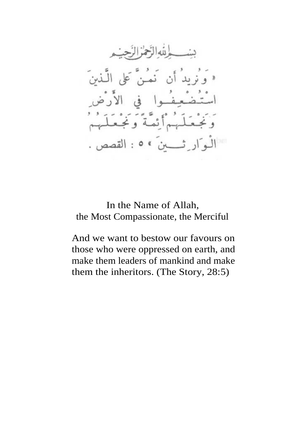In the Name of Allah, the Most Compassionate, the Merciful

And we want to bestow our favours on those who were oppressed on earth, and make them leaders of mankind and make them the inheritors. (The Story, 28:5)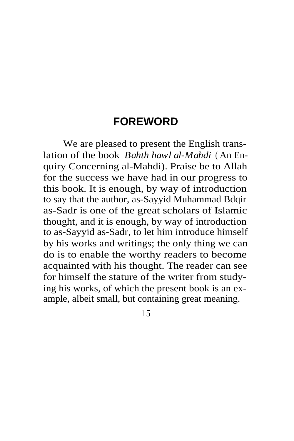# **FOREWORD**

We are pleased to present the English translation of the book *Bahth hawl al-Mahdi* ( An Enquiry Concerning al-Mahdi). Praise be to Allah for the success we have had in our progress to this book. It is enough, by way of introduction to say that the author, as-Sayyid Muhammad Bdqir as-Sadr is one of the great scholars of Islamic thought, and it is enough, by way of introduction to as-Sayyid as-Sadr, to let him introduce himself by his works and writings; the only thing we can do is to enable the worthy readers to become acquainted with his thought. The reader can see for himself the stature of the writer from studying his works, of which the present book is an example, albeit small, but containing great meaning.

<sup>1</sup> 5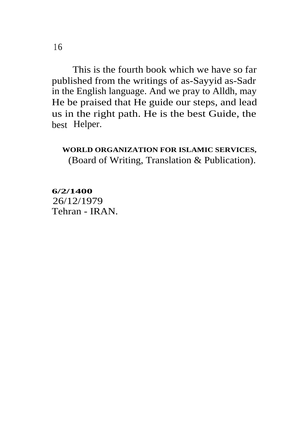This is the fourth book which we have so far published from the writings of as-Sayyid as-Sadr in the English language. And we pray to Alldh, may He be praised that He guide our steps, and lead us in the right path. He is the best Guide, the best Helper.

## **WORLD ORGANIZATION FOR ISLAMIC SERVICES,** (Board of Writing, Translation & Publication).

**6/2/1400** Tehran - IRAN. 26/12/1979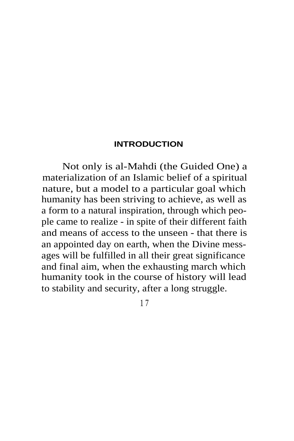## **INTRODUCTION**

Not only is al-Mahdi (the Guided One) a materialization of an Islamic belief of a spiritual nature, but a model to a particular goal which humanity has been striving to achieve, as well as a form to a natural inspiration, through which people came to realize - in spite of their different faith and means of access to the unseen - that there is an appointed day on earth, when the Divine messages will be fulfilled in all their great significance and final aim, when the exhausting march which humanity took in the course of history will lead to stability and security, after a long struggle.

1 7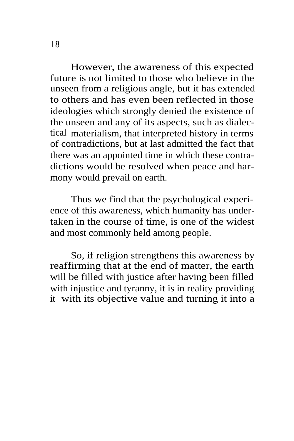However, the awareness of this expected future is not limited to those who believe in the unseen from a religious angle, but it has extended to others and has even been reflected in those ideologies which strongly denied the existence of the unseen and any of its aspects, such as dialectical materialism, that interpreted history in terms of contradictions, but at last admitted the fact that there was an appointed time in which these contradictions would be resolved when peace and harmony would prevail on earth.

Thus we find that the psychological experience of this awareness, which humanity has undertaken in the course of time, is one of the widest and most commonly held among people.

So, if religion strengthens this awareness by reaffirming that at the end of matter, the earth will be filled with justice after having been filled with injustice and tyranny, it is in reality providing it with its objective value and turning it into a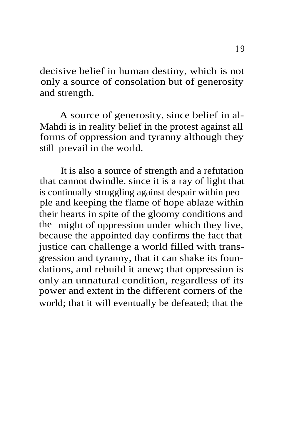decisive belief in human destiny, which is not only a source of consolation but of generosity and strength.

A source of generosity, since belief in al-Mahdi is in reality belief in the protest against all forms of oppression and tyranny although they still prevail in the world.

It is also a source of strength and a refutation that cannot dwindle, since it is a ray of light that is continually struggling against despair within peo ple and keeping the flame of hope ablaze within their hearts in spite of the gloomy conditions and the might of oppression under which they live, because the appointed day confirms the fact that justice can challenge a world filled with transgression and tyranny, that it can shake its foundations, and rebuild it anew; that oppression is only an unnatural condition, regardless of its power and extent in the different corners of the world; that it will eventually be defeated; that the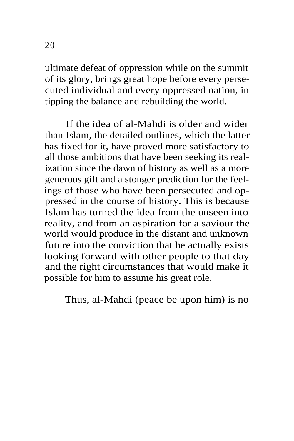ultimate defeat of oppression while on the summit of its glory, brings great hope before every persecuted individual and every oppressed nation, in tipping the balance and rebuilding the world.

If the idea of al-Mahdi is older and wider than Islam, the detailed outlines, which the latter has fixed for it, have proved more satisfactory to all those ambitions that have been seeking its realization since the dawn of history as well as a more generous gift and a stonger prediction for the feelings of those who have been persecuted and oppressed in the course of history. This is because Islam has turned the idea from the unseen into reality, and from an aspiration for a saviour the world would produce in the distant and unknown future into the conviction that he actually exists looking forward with other people to that day and the right circumstances that would make it possible for him to assume his great role.

Thus, al-Mahdi (peace be upon him) is no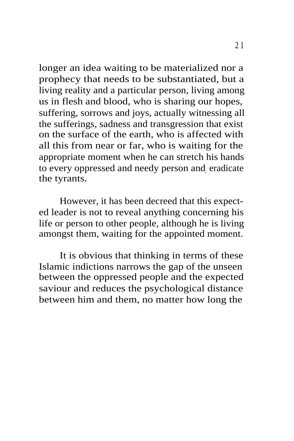longer an idea waiting to be materialized nor a prophecy that needs to be substantiated, but a living reality and a particular person, living among us in flesh and blood, who is sharing our hopes, suffering, sorrows and joys, actually witnessing all the sufferings, sadness and transgression that exist on the surface of the earth, who is affected with all this from near or far, who is waiting for the appropriate moment when he can stretch his hands to every oppressed and needy person and eradicate the tyrants.

However, it has been decreed that this expected leader is not to reveal anything concerning his life or person to other people, although he is living amongst them, waiting for the appointed moment.

It is obvious that thinking in terms of these Islamic indictions narrows the gap of the unseen between the oppressed people and the expected saviour and reduces the psychological distance between him and them, no matter how long the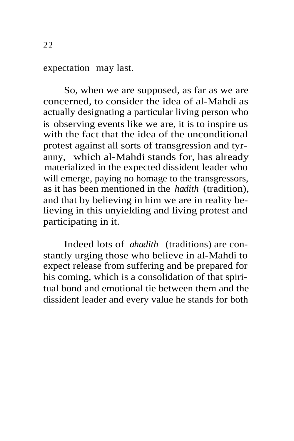expectation may last.

So, when we are supposed, as far as we are concerned, to consider the idea of al-Mahdi as actually designating a particular living person who is observing events like we are, it is to inspire us with the fact that the idea of the unconditional protest against all sorts of transgression and tyranny, which al-Mahdi stands for, has already materialized in the expected dissident leader who will emerge, paying no homage to the transgressors, as it has been mentioned in the *hadith* (tradition), and that by believing in him we are in reality believing in this unyielding and living protest and participating in it.

Indeed lots of *ahadith* (traditions) are constantly urging those who believe in al-Mahdi to expect release from suffering and be prepared for his coming, which is a consolidation of that spiritual bond and emotional tie between them and the dissident leader and every value he stands for both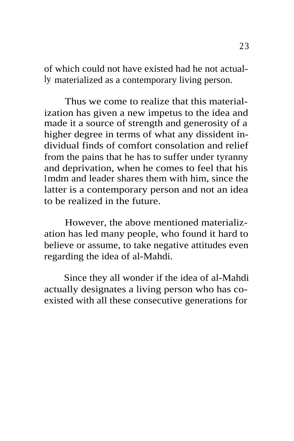of which could not have existed had he not actually materialized as a contemporary living person.

Thus we come to realize that this materialization has given a new impetus to the idea and made it a source of strength and generosity of a higher degree in terms of what any dissident individual finds of comfort consolation and relief from the pains that he has to suffer under tyranny and deprivation, when he comes to feel that his Imdm and leader shares them with him, since the latter is a contemporary person and not an idea to be realized in the future.

However, the above mentioned materialization has led many people, who found it hard to believe or assume, to take negative attitudes even regarding the idea of al-Mahdi.

Since they all wonder if the idea of al-Mahdi actually designates a living person who has coexisted with all these consecutive generations for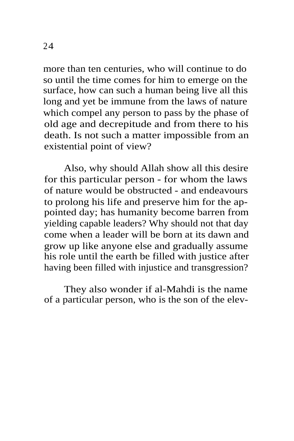more than ten centuries, who will continue to do so until the time comes for him to emerge on the surface, how can such a human being live all this long and yet be immune from the laws of nature which compel any person to pass by the phase of old age and decrepitude and from there to his death. Is not such a matter impossible from an existential point of view?

Also, why should Allah show all this desire for this particular person - for whom the laws of nature would be obstructed - and endeavours to prolong his life and preserve him for the appointed day; has humanity become barren from yielding capable leaders? Why should not that day come when a leader will be born at its dawn and grow up like anyone else and gradually assume his role until the earth be filled with justice after having been filled with injustice and transgression?

They also wonder if al-Mahdi is the name of a particular person, who is the son of the elev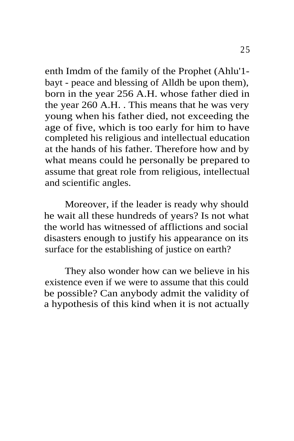enth Imdm of the family of the Prophet (Ahlu'1 bayt - peace and blessing of Alldh be upon them), born in the year 256 A.H. whose father died in the year 260 A.H. . This means that he was very young when his father died, not exceeding the age of five, which is too early for him to have completed his religious and intellectual education at the hands of his father. Therefore how and by what means could he personally be prepared to assume that great role from religious, intellectual and scientific angles.

Moreover, if the leader is ready why should he wait all these hundreds of years? Is not what the world has witnessed of afflictions and social disasters enough to justify his appearance on its surface for the establishing of justice on earth?

They also wonder how can we believe in his existence even if we were to assume that this could be possible? Can anybody admit the validity of a hypothesis of this kind when it is not actually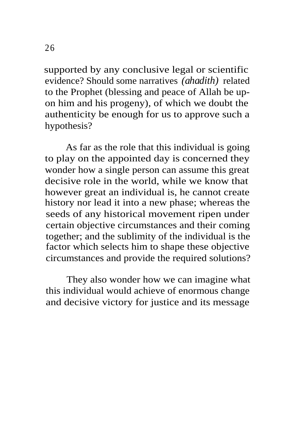supported by any conclusive legal or scientific evidence? Should some narratives *(ahadith)* related to the Prophet (blessing and peace of Allah be upon him and his progeny), of which we doubt the authenticity be enough for us to approve such a hypothesis?

As far as the role that this individual is going to play on the appointed day is concerned they wonder how a single person can assume this great decisive role in the world, while we know that however great an individual is, he cannot create history nor lead it into a new phase; whereas the seeds of any historical movement ripen under certain objective circumstances and their coming together; and the sublimity of the individual is the factor which selects him to shape these objective circumstances and provide the required solutions?

They also wonder how we can imagine what this individual would achieve of enormous change and decisive victory for justice and its message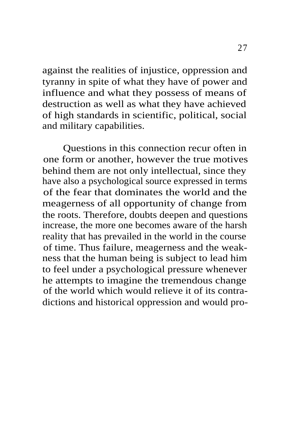against the realities of injustice, oppression and tyranny in spite of what they have of power and influence and what they possess of means of destruction as well as what they have achieved of high standards in scientific, political, social and military capabilities.

Questions in this connection recur often in one form or another, however the true motives behind them are not only intellectual, since they have also a psychological source expressed in terms of the fear that dominates the world and the meagerness of all opportunity of change from the roots. Therefore, doubts deepen and questions increase, the more one becomes aware of the harsh reality that has prevailed in the world in the course of time. Thus failure, meagerness and the weakness that the human being is subject to lead him to feel under a psychological pressure whenever he attempts to imagine the tremendous change of the world which would relieve it of its contradictions and historical oppression and would pro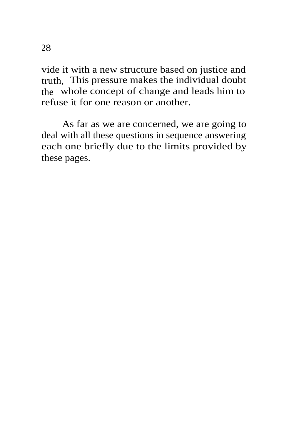vide it with a new structure based on justice and truth, This pressure makes the individual doubt the whole concept of change and leads him to refuse it for one reason or another.

As far as we are concerned, we are going to deal with all these questions in sequence answering each one briefly due to the limits provided by these pages.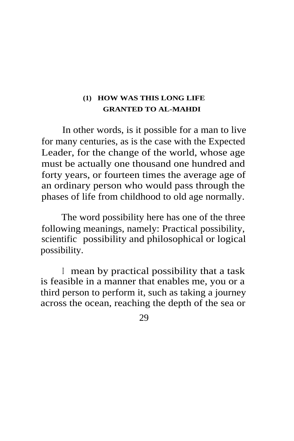## **(1) HOW WAS THIS LONG LIFE GRANTED TO AL-MAHDI**

In other words, is it possible for a man to live for many centuries, as is the case with the Expected Leader, for the change of the world, whose age must be actually one thousand one hundred and forty years, or fourteen times the average age of an ordinary person who would pass through the phases of life from childhood to old age normally.

The word possibility here has one of the three following meanings, namely: Practical possibility, scientific possibility and philosophical or logical possibility.

<sup>I</sup> mean by practical possibility that a task is feasible in a manner that enables me, you or a third person to perform it, such as taking a journey across the ocean, reaching the depth of the sea or

29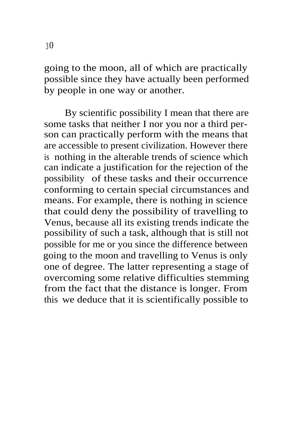going to the moon, all of which are practically possible since they have actually been performed by people in one way or another.

By scientific possibility I mean that there are some tasks that neither I nor you nor a third person can practically perform with the means that are accessible to present civilization. However there is nothing in the alterable trends of science which can indicate a justification for the rejection of the possibility of these tasks and their occurrence conforming to certain special circumstances and means. For example, there is nothing in science that could deny the possibility of travelling to Venus, because all its existing trends indicate the possibility of such a task, although that is still not possible for me or you since the difference between going to the moon and travelling to Venus is only one of degree. The latter representing a stage of overcoming some relative difficulties stemming from the fact that the distance is longer. From this we deduce that it is scientifically possible to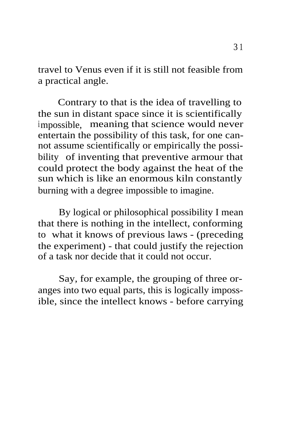travel to Venus even if it is still not feasible from a practical angle.

Contrary to that is the idea of travelling to the sun in distant space since it is scientifically impossible, meaning that science would never entertain the possibility of this task, for one cannot assume scientifically or empirically the possibility of inventing that preventive armour that could protect the body against the heat of the sun which is like an enormous kiln constantly burning with a degree impossible to imagine.

By logical or philosophical possibility I mean that there is nothing in the intellect, conforming to what it knows of previous laws - (preceding the experiment) - that could justify the rejection of a task nor decide that it could not occur.

Say, for example, the grouping of three oranges into two equal parts, this is logically impossible, since the intellect knows - before carrying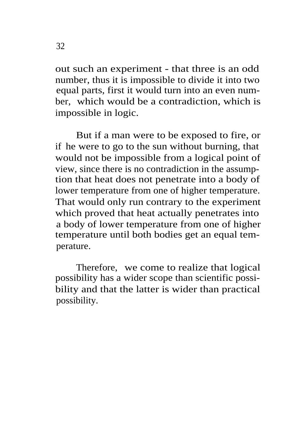out such an experiment - that three is an odd number, thus it is impossible to divide it into two equal parts, first it would turn into an even number, which would be a contradiction, which is impossible in logic.

But if a man were to be exposed to fire, or if he were to go to the sun without burning, that would not be impossible from a logical point of view, since there is no contradiction in the assumption that heat does not penetrate into a body of lower temperature from one of higher temperature. That would only run contrary to the experiment which proved that heat actually penetrates into a body of lower temperature from one of higher temperature until both bodies get an equal temperature.

Therefore, we come to realize that logical possibility has a wider scope than scientific possibility and that the latter is wider than practical possibility.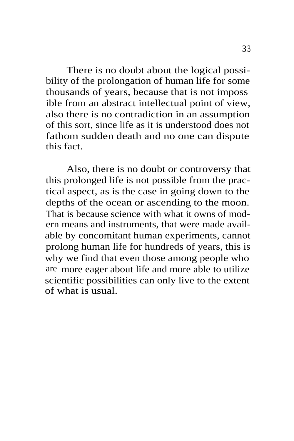There is no doubt about the logical possibility of the prolongation of human life for some thousands of years, because that is not imposs ible from an abstract intellectual point of view, also there is no contradiction in an assumption of this sort, since life as it is understood does not fathom sudden death and no one can dispute this fact.

Also, there is no doubt or controversy that this prolonged life is not possible from the practical aspect, as is the case in going down to the depths of the ocean or ascending to the moon. That is because science with what it owns of modern means and instruments, that were made available by concomitant human experiments, cannot prolong human life for hundreds of years, this is why we find that even those among people who are more eager about life and more able to utilize scientific possibilities can only live to the extent of what is usual.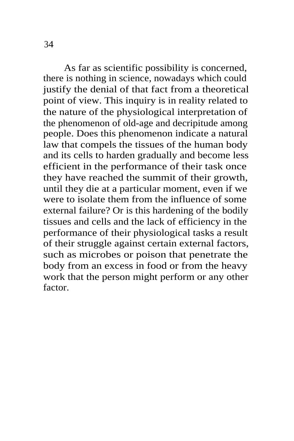As far as scientific possibility is concerned, there is nothing in science, nowadays which could justify the denial of that fact from a theoretical point of view. This inquiry is in reality related to the nature of the physiological interpretation of the phenomenon of old-age and decripitude among people. Does this phenomenon indicate a natural law that compels the tissues of the human body and its cells to harden gradually and become less efficient in the performance of their task once they have reached the summit of their growth, until they die at a particular moment, even if we were to isolate them from the influence of some external failure? Or is this hardening of the bodily tissues and cells and the lack of efficiency in the performance of their physiological tasks a result of their struggle against certain external factors, such as microbes or poison that penetrate the body from an excess in food or from the heavy work that the person might perform or any other factor.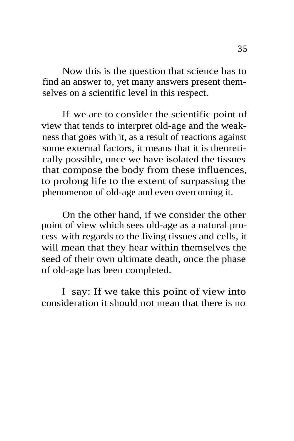Now this is the question that science has to find an answer to, yet many answers present themselves on a scientific level in this respect.

If we are to consider the scientific point of view that tends to interpret old-age and the weakness that goes with it, as a result of reactions against some external factors, it means that it is theoretically possible, once we have isolated the tissues that compose the body from these influences, to prolong life to the extent of surpassing the phenomenon of old-age and even overcoming it.

On the other hand, if we consider the other point of view which sees old-age as a natural process with regards to the living tissues and cells, it will mean that they hear within themselves the seed of their own ultimate death, once the phase of old-age has been completed.

<sup>I</sup> say: If we take this point of view into consideration it should not mean that there is no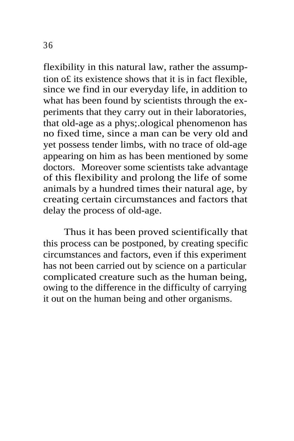flexibility in this natural law, rather the assumption o£ its existence shows that it is in fact flexible, since we find in our everyday life, in addition to what has been found by scientists through the experiments that they carry out in their laboratories, that old-age as a phys;.ological phenomenon has no fixed time, since a man can be very old and yet possess tender limbs, with no trace of old-age appearing on him as has been mentioned by some doctors. Moreover some scientists take advantage of this flexibility and prolong the life of some animals by a hundred times their natural age, by creating certain circumstances and factors that delay the process of old-age.

Thus it has been proved scientifically that this process can be postponed, by creating specific circumstances and factors, even if this experiment has not been carried out by science on a particular complicated creature such as the human being, owing to the difference in the difficulty of carrying it out on the human being and other organisms.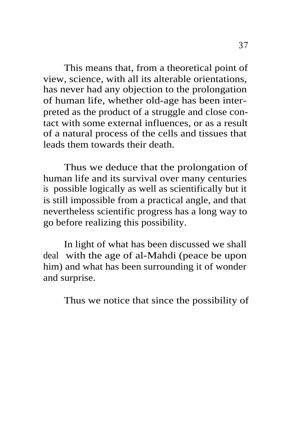This means that, from a theoretical point of view, science, with all its alterable orientations, has never had any objection to the prolongation of human life, whether old-age has been interpreted as the product of a struggle and close contact with some external influences, or as a result of a natural process of the cells and tissues that leads them towards their death.

Thus we deduce that the prolongation of human life and its survival over many centuries is possible logically as well as scientifically but it is still impossible from a practical angle, and that nevertheless scientific progress has a long way to go before realizing this possibility.

In light of what has been discussed we shall deal with the age of al-Mahdi (peace be upon him) and what has been surrounding it of wonder and surprise.

Thus we notice that since the possibility of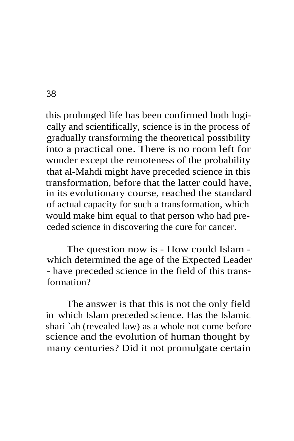this prolonged life has been confirmed both logically and scientifically, science is in the process of gradually transforming the theoretical possibility into a practical one. There is no room left for wonder except the remoteness of the probability that al-Mahdi might have preceded science in this transformation, before that the latter could have, in its evolutionary course, reached the standard of actual capacity for such a transformation, which would make him equal to that person who had preceded science in discovering the cure for cancer.

The question now is - How could Islam which determined the age of the Expected Leader - have preceded science in the field of this transformation?

The answer is that this is not the only field in which Islam preceded science. Has the Islamic shari `ah (revealed law) as a whole not come before science and the evolution of human thought by many centuries? Did it not promulgate certain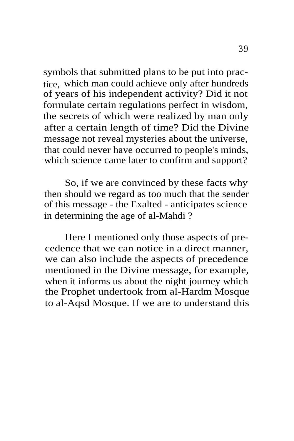symbols that submitted plans to be put into practice, which man could achieve only after hundreds of years of his independent activity? Did it not formulate certain regulations perfect in wisdom, the secrets of which were realized by man only after a certain length of time? Did the Divine message not reveal mysteries about the universe, that could never have occurred to people's minds, which science came later to confirm and support?

So, if we are convinced by these facts why then should we regard as too much that the sender of this message - the Exalted - anticipates science in determining the age of al-Mahdi ?

Here I mentioned only those aspects of precedence that we can notice in a direct manner, we can also include the aspects of precedence mentioned in the Divine message, for example, when it informs us about the night journey which the Prophet undertook from al-Hardm Mosque to al-Aqsd Mosque. If we are to understand this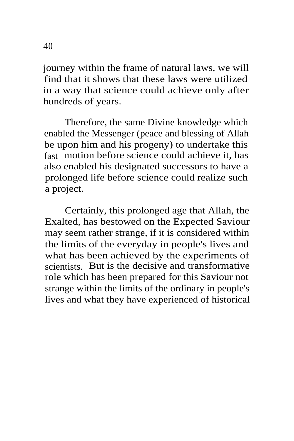journey within the frame of natural laws, we will find that it shows that these laws were utilized in a way that science could achieve only after hundreds of years.

Therefore, the same Divine knowledge which enabled the Messenger (peace and blessing of Allah be upon him and his progeny) to undertake this fast motion before science could achieve it, has also enabled his designated successors to have a prolonged life before science could realize such a project.

Certainly, this prolonged age that Allah, the Exalted, has bestowed on the Expected Saviour may seem rather strange, if it is considered within the limits of the everyday in people's lives and what has been achieved by the experiments of scientists. But is the decisive and transformative role which has been prepared for this Saviour not strange within the limits of the ordinary in people's lives and what they have experienced of historical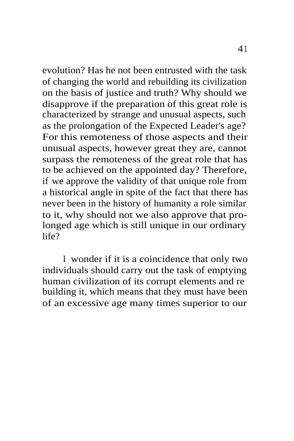evolution? Has he not been entrusted with the task of changing the world and rebuilding its civilization on the basis of justice and truth? Why should we disapprove if the preparation of this great role is characterized by strange and unusual aspects, such as the prolongation of the Expected Leader's age? For this remoteness of those aspects and their unusual aspects, however great they are, cannot surpass the remoteness of the great role that has to be achieved on the appointed day? Therefore, if we approve the validity of that unique role from a historical angle in spite of the fact that there has never been in the history of humanity a role similar to it, why should not we also approve that prolonged age which is still unique in our ordinary life?

I wonder if it is a coincidence that only two individuals should carry out the task of emptying human civilization of its corrupt elements and re building it, which means that they must have been of an excessive age many times superior to our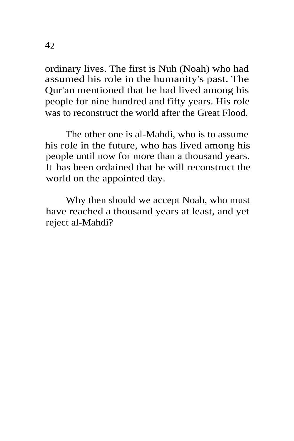ordinary lives. The first is Nuh (Noah) who had assumed his role in the humanity's past. The Qur'an mentioned that he had lived among his people for nine hundred and fifty years. His role was to reconstruct the world after the Great Flood.

The other one is al-Mahdi, who is to assume his role in the future, who has lived among his people until now for more than a thousand years. It has been ordained that he will reconstruct the world on the appointed day.

Why then should we accept Noah, who must have reached a thousand years at least, and yet reject al-Mahdi?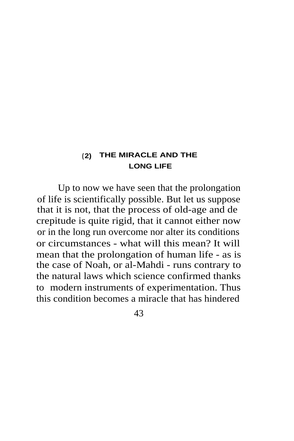### **( 2) THE MIRACLE AND THE LONG LIFE**

Up to now we have seen that the prolongation of life is scientifically possible. But let us suppose that it is not, that the process of old-age and de crepitude is quite rigid, that it cannot either now or in the long run overcome nor alter its conditions or circumstances - what will this mean? It will mean that the prolongation of human life - as is the case of Noah, or al-Mahdi - runs contrary to the natural laws which science confirmed thanks to modern instruments of experimentation. Thus this condition becomes a miracle that has hindered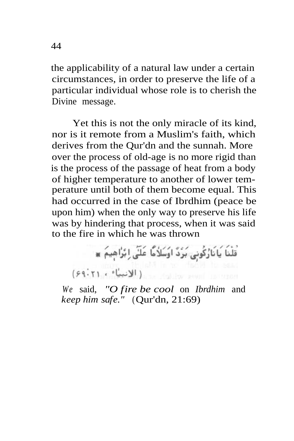the applicability of a natural law under a certain circumstances, in order to preserve the life of a particular individual whose role is to cherish the Divine message.

Yet this is not the only miracle of its kind, nor is it remote from a Muslim's faith, which derives from the Qur'dn and the sunnah. More over the process of old-age is no more rigid than is the process of the passage of heat from a body of higher temperature to another of lower temperature until both of them become equal. This had occurred in the case of Ibrdhim (peace be upon him) when the only way to preserve his life was by hindering that process, when it was said to the fire in which he was thrown

> .<br>قَلْنَا يَانَارُكُونِي بَرْدٌ اوُسَلاُمًّا عَلَى إِبْرًاهِيمَ ۞ (۶۹۰۲۱ ، الانبيَّاء ، ۶۹۰۲۱)

*We* said, *"O fire be cool* on *Ibrdhim* and *keep him safe."* (Qur'dn, 21:69)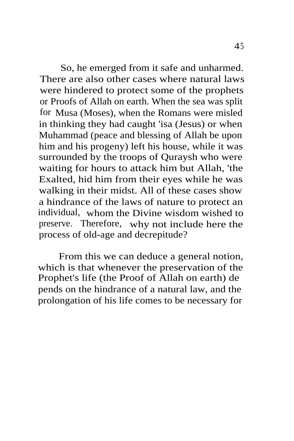So, he emerged from it safe and unharmed. There are also other cases where natural laws were hindered to protect some of the prophets or Proofs of Allah on earth. When the sea was split for Musa (Moses), when the Romans were misled in thinking they had caught 'isa (Jesus) or when Muhammad (peace and blessing of Allah be upon him and his progeny) left his house, while it was surrounded by the troops of Quraysh who were waiting for hours to attack him but Allah, 'the Exalted, hid him from their eyes while he was walking in their midst. All of these cases show a hindrance of the laws of nature to protect an individual, whom the Divine wisdom wished to preserve. Therefore, why not include here the process of old-age and decrepitude?

From this we can deduce a general notion, which is that whenever the preservation of the Prophet's life (the Proof of Allah on earth) de pends on the hindrance of a natural law, and the prolongation of his life comes to be necessary for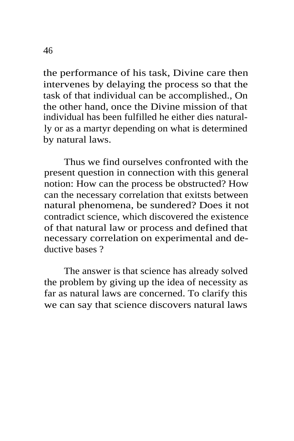the performance of his task, Divine care then intervenes by delaying the process so that the task of that individual can be accomplished., On the other hand, once the Divine mission of that individual has been fulfilled he either dies naturally or as a martyr depending on what is determined by natural laws.

Thus we find ourselves confronted with the present question in connection with this general notion: How can the process be obstructed? How can the necessary correlation that exitsts between natural phenomena, be sundered? Does it not contradict science, which discovered the existence of that natural law or process and defined that necessary correlation on experimental and deductive bases ?

The answer is that science has already solved the problem by giving up the idea of necessity as far as natural laws are concerned. To clarify this we can say that science discovers natural laws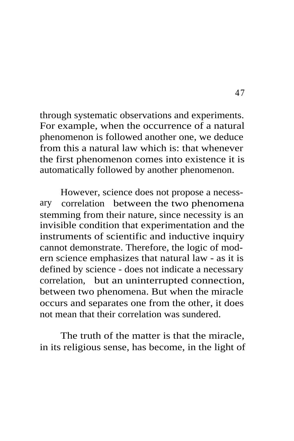through systematic observations and experiments. For example, when the occurrence of a natural phenomenon is followed another one, we deduce from this a natural law which is: that whenever the first phenomenon comes into existence it is automatically followed by another phenomenon.

However, science does not propose a necessary correlation between the two phenomena stemming from their nature, since necessity is an invisible condition that experimentation and the instruments of scientific and inductive inquiry cannot demonstrate. Therefore, the logic of modern science emphasizes that natural law - as it is defined by science - does not indicate a necessary correlation, but an uninterrupted connection, between two phenomena. But when the miracle occurs and separates one from the other, it does not mean that their correlation was sundered.

The truth of the matter is that the miracle, in its religious sense, has become, in the light of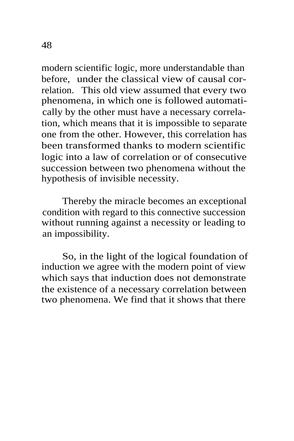modern scientific logic, more understandable than before, under the classical view of causal correlation. This old view assumed that every two phenomena, in which one is followed automatically by the other must have a necessary correlation, which means that it is impossible to separate one from the other. However, this correlation has been transformed thanks to modern scientific logic into a law of correlation or of consecutive succession between two phenomena without the hypothesis of invisible necessity.

Thereby the miracle becomes an exceptional condition with regard to this connective succession without running against a necessity or leading to an impossibility.

So, in the light of the logical foundation of induction we agree with the modern point of view which says that induction does not demonstrate the existence of a necessary correlation between two phenomena. We find that it shows that there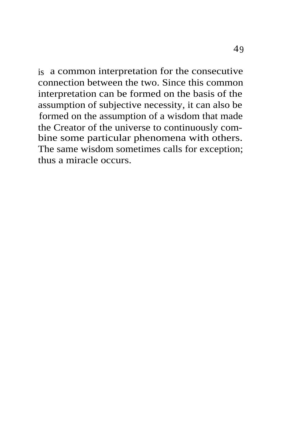is a common interpretation for the consecutive connection between the two. Since this common interpretation can be formed on the basis of the assumption of subjective necessity, it can also be formed on the assumption of a wisdom that made the Creator of the universe to continuously combine some particular phenomena with others. The same wisdom sometimes calls for exception; thus a miracle occurs.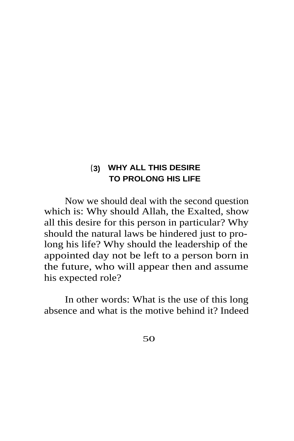# **(3) WHY ALL THIS DESIRE TO PROLONG HIS LIFE**

Now we should deal with the second question which is: Why should Allah, the Exalted, show all this desire for this person in particular? Why should the natural laws be hindered just to prolong his life? Why should the leadership of the appointed day not be left to a person born in the future, who will appear then and assume his expected role?

In other words: What is the use of this long absence and what is the motive behind it? Indeed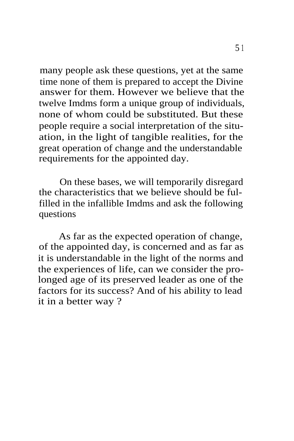many people ask these questions, yet at the same time none of them is prepared to accept the Divine answer for them. However we believe that the twelve Imdms form a unique group of individuals, none of whom could be substituted. But these people require a social interpretation of the situation, in the light of tangible realities, for the great operation of change and the understandable requirements for the appointed day.

On these bases, we will temporarily disregard the characteristics that we believe should be fulfilled in the infallible Imdms and ask the following questions

As far as the expected operation of change, of the appointed day, is concerned and as far as it is understandable in the light of the norms and the experiences of life, can we consider the prolonged age of its preserved leader as one of the factors for its success? And of his ability to lead it in a better way ?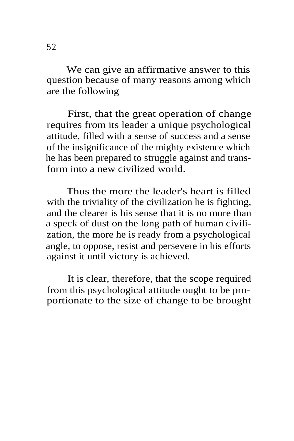We can give an affirmative answer to this question because of many reasons among which are the following

First, that the great operation of change requires from its leader a unique psychological attitude, filled with a sense of success and a sense of the insignificance of the mighty existence which he has been prepared to struggle against and transform into a new civilized world.

Thus the more the leader's heart is filled with the triviality of the civilization he is fighting, and the clearer is his sense that it is no more than a speck of dust on the long path of human civilization, the more he is ready from a psychological angle, to oppose, resist and persevere in his efforts against it until victory is achieved.

It is clear, therefore, that the scope required from this psychological attitude ought to be proportionate to the size of change to be brought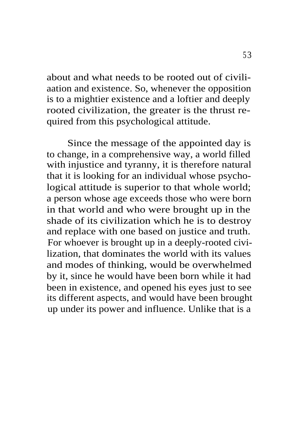about and what needs to be rooted out of civiliaation and existence. So, whenever the opposition is to a mightier existence and a loftier and deeply rooted civilization, the greater is the thrust required from this psychological attitude.

Since the message of the appointed day is to change, in a comprehensive way, a world filled with injustice and tyranny, it is therefore natural that it is looking for an individual whose psychological attitude is superior to that whole world; a person whose age exceeds those who were born in that world and who were brought up in the shade of its civilization which he is to destroy and replace with one based on justice and truth. For whoever is brought up in a deeply-rooted civilization, that dominates the world with its values and modes of thinking, would be overwhelmed by it, since he would have been born while it had been in existence, and opened his eyes just to see its different aspects, and would have been brought up under its power and influence. Unlike that is a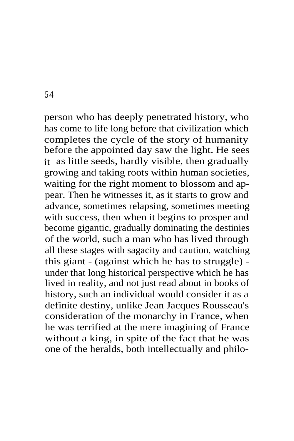person who has deeply penetrated history, who has come to life long before that civilization which completes the cycle of the story of humanity before the appointed day saw the light. He sees it as little seeds, hardly visible, then gradually growing and taking roots within human societies, waiting for the right moment to blossom and appear. Then he witnesses it, as it starts to grow and advance, sometimes relapsing, sometimes meeting with success, then when it begins to prosper and become gigantic, gradually dominating the destinies of the world, such a man who has lived through all these stages with sagacity and caution, watching this giant - (against which he has to struggle) under that long historical perspective which he has lived in reality, and not just read about in books of history, such an individual would consider it as a definite destiny, unlike Jean Jacques Rousseau's consideration of the monarchy in France, when he was terrified at the mere imagining of France without a king, in spite of the fact that he was one of the heralds, both intellectually and philo-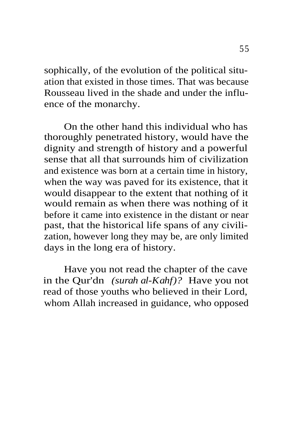sophically, of the evolution of the political situation that existed in those times. That was because Rousseau lived in the shade and under the influence of the monarchy.

On the other hand this individual who has thoroughly penetrated history, would have the dignity and strength of history and a powerful sense that all that surrounds him of civilization and existence was born at a certain time in history, when the way was paved for its existence, that it would disappear to the extent that nothing of it would remain as when there was nothing of it before it came into existence in the distant or near past, that the historical life spans of any civilization, however long they may be, are only limited days in the long era of history.

Have you not read the chapter of the cave in the Qur'dn *(surah al-Kahf)?* Have you not read of those youths who believed in their Lord, whom Allah increased in guidance, who opposed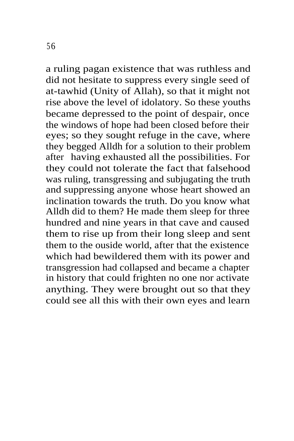a ruling pagan existence that was ruthless and did not hesitate to suppress every single seed of at-tawhid (Unity of Allah), so that it might not rise above the level of idolatory. So these youths became depressed to the point of despair, once the windows of hope had been closed before their eyes; so they sought refuge in the cave, where they begged Alldh for a solution to their problem after having exhausted all the possibilities. For they could not tolerate the fact that falsehood was ruling, transgressing and subjugating the truth and suppressing anyone whose heart showed an inclination towards the truth. Do you know what Alldh did to them? He made them sleep for three hundred and nine years in that cave and caused them to rise up from their long sleep and sent them to the ouside world, after that the existence which had bewildered them with its power and transgression had collapsed and became a chapter in history that could frighten no one nor activate anything. They were brought out so that they could see all this with their own eyes and learn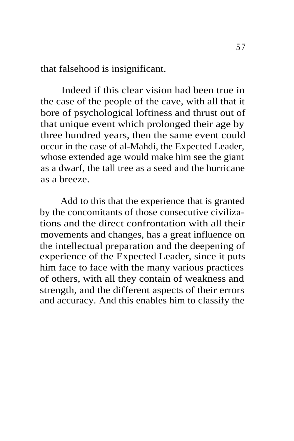that falsehood is insignificant.

Indeed if this clear vision had been true in the case of the people of the cave, with all that it bore of psychological loftiness and thrust out of that unique event which prolonged their age by three hundred years, then the same event could occur in the case of al-Mahdi, the Expected Leader, whose extended age would make him see the giant as a dwarf, the tall tree as a seed and the hurricane as a breeze.

Add to this that the experience that is granted by the concomitants of those consecutive civilizations and the direct confrontation with all their movements and changes, has a great influence on the intellectual preparation and the deepening of experience of the Expected Leader, since it puts him face to face with the many various practices of others, with all they contain of weakness and strength, and the different aspects of their errors and accuracy. And this enables him to classify the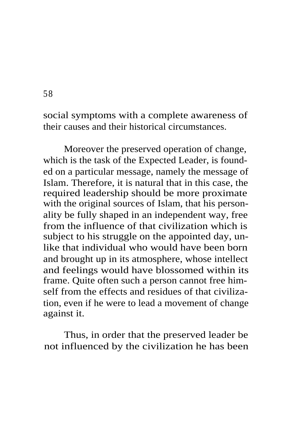social symptoms with a complete awareness of their causes and their historical circumstances.

Moreover the preserved operation of change, which is the task of the Expected Leader, is founded on a particular message, namely the message of Islam. Therefore, it is natural that in this case, the required leadership should be more proximate with the original sources of Islam, that his personality be fully shaped in an independent way, free from the influence of that civilization which is subject to his struggle on the appointed day, unlike that individual who would have been born and brought up in its atmosphere, whose intellect and feelings would have blossomed within its frame. Quite often such a person cannot free himself from the effects and residues of that civilization, even if he were to lead a movement of change against it.

Thus, in order that the preserved leader be not influenced by the civilization he has been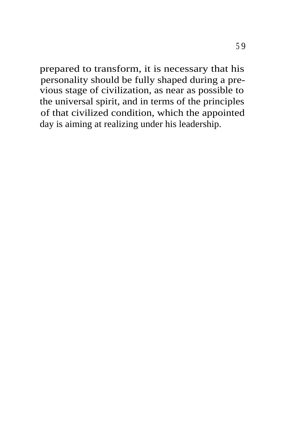prepared to transform, it is necessary that his personality should be fully shaped during a previous stage of civilization, as near as possible to the universal spirit, and in terms of the principles of that civilized condition, which the appointed day is aiming at realizing under his leadership.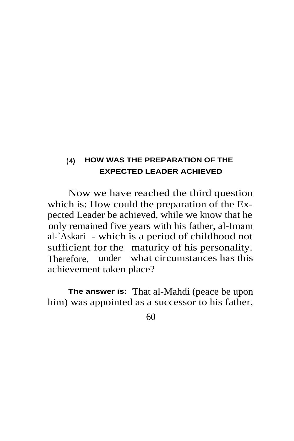## **( 4) HOW WAS THE PREPARATION OF THE EXPECTED LEADER ACHIEVED**

Now we have reached the third question which is: How could the preparation of the Expected Leader be achieved, while we know that he only remained five years with his father, al-Imam al-`Askari - which is a period of childhood not sufficient for the maturity of his personality. Therefore, under what circumstances has this achievement taken place?

**The answer is:** That al-Mahdi (peace be upon him) was appointed as a successor to his father,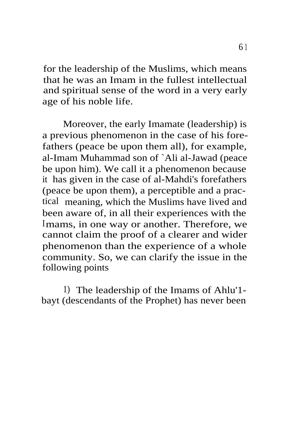for the leadership of the Muslims, which means that he was an Imam in the fullest intellectual and spiritual sense of the word in a very early age of his noble life.

Moreover, the early Imamate (leadership) is a previous phenomenon in the case of his forefathers (peace be upon them all), for example, al-Imam Muhammad son of `Ali al-Jawad (peace be upon him). We call it a phenomenon because it has given in the case of al-Mahdi's forefathers (peace be upon them), a perceptible and a practical meaning, which the Muslims have lived and been aware of, in all their experiences with the Imams, in one way or another. Therefore, we cannot claim the proof of a clearer and wider phenomenon than the experience of a whole community. So, we can clarify the issue in the following points

1) The leadership of the Imams of Ahlu'1 bayt (descendants of the Prophet) has never been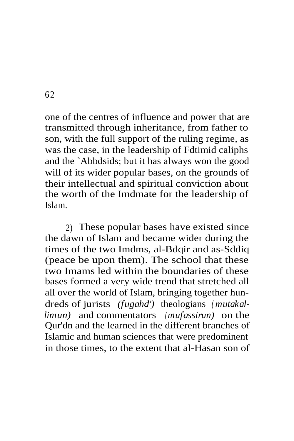one of the centres of influence and power that are transmitted through inheritance, from father to son, with the full support of the ruling regime, as was the case, in the leadership of Fdtimid caliphs and the `Abbdsids; but it has always won the good will of its wider popular bases, on the grounds of their intellectual and spiritual conviction about the worth of the Imdmate for the leadership of Islam.

2) These popular bases have existed since the dawn of Islam and became wider during the times of the two Imdms, al-Bdqir and as-Sddiq (peace be upon them). The school that these two Imams led within the boundaries of these bases formed a very wide trend that stretched all all over the world of Islam, bringing together hundreds of jurists *(fugahd')* theologians *( mutakallimun)* and commentators *(mufassirun)* on the Qur'dn and the learned in the different branches of Islamic and human sciences that were predominent in those times, to the extent that al-Hasan son of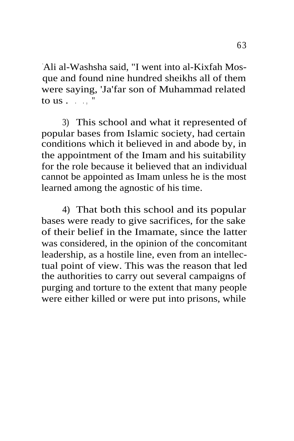`Ali al-Washsha said, "I went into al-Kixfah Mosque and found nine hundred sheikhs all of them were saying, 'Ja'far son of Muhammad related to us  $\ldots$  "

3) This school and what it represented of popular bases from Islamic society, had certain conditions which it believed in and abode by, in the appointment of the Imam and his suitability for the role because it believed that an individual cannot be appointed as Imam unless he is the most learned among the agnostic of his time.

4) That both this school and its popular bases were ready to give sacrifices, for the sake of their belief in the Imamate, since the latter was considered, in the opinion of the concomitant leadership, as a hostile line, even from an intellectual point of view. This was the reason that led the authorities to carry out several campaigns of purging and torture to the extent that many people were either killed or were put into prisons, while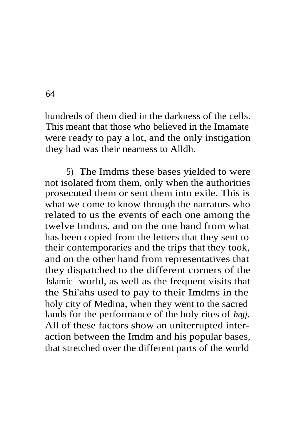hundreds of them died in the darkness of the cells. This meant that those who believed in the Imamate were ready to pay a lot, and the only instigation they had was their nearness to Alldh.

5) The Imdms these bases yielded to were not isolated from them, only when the authorities prosecuted them or sent them into exile. This is what we come to know through the narrators who related to us the events of each one among the twelve Imdms, and on the one hand from what has been copied from the letters that they sent to their contemporaries and the trips that they took, and on the other hand from representatives that they dispatched to the different corners of the Islamic world, as well as the frequent visits that the Shi'ahs used to pay to their Imdms in the holy city of Medina, when they went to the sacred lands for the performance of the holy rites of *hajj.* All of these factors show an uniterrupted interaction between the Imdm and his popular bases, that stretched over the different parts of the world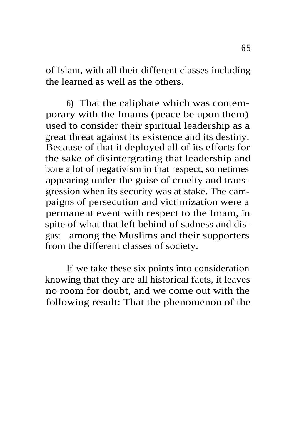of Islam, with all their different classes including the learned as well as the others.

6) That the caliphate which was contemporary with the Imams (peace be upon them) used to consider their spiritual leadership as a great threat against its existence and its destiny. Because of that it deployed all of its efforts for the sake of disintergrating that leadership and bore a lot of negativism in that respect, sometimes appearing under the guise of cruelty and transgression when its security was at stake. The campaigns of persecution and victimization were a permanent event with respect to the Imam, in spite of what that left behind of sadness and disgust among the Muslims and their supporters from the different classes of society.

If we take these six points into consideration knowing that they are all historical facts, it leaves no room for doubt, and we come out with the following result: That the phenomenon of the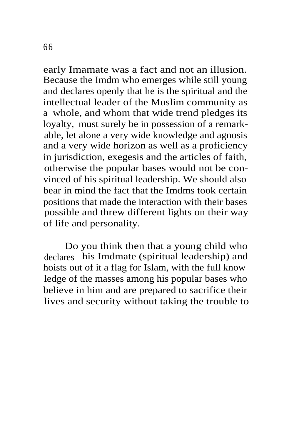early Imamate was a fact and not an illusion. Because the Imdm who emerges while still young and declares openly that he is the spiritual and the intellectual leader of the Muslim community as a whole, and whom that wide trend pledges its loyalty, must surely be in possession of a remarkable, let alone a very wide knowledge and agnosis and a very wide horizon as well as a proficiency in jurisdiction, exegesis and the articles of faith, otherwise the popular bases would not be convinced of his spiritual leadership. We should also bear in mind the fact that the Imdms took certain positions that made the interaction with their bases possible and threw different lights on their way of life and personality.

Do you think then that a young child who declares his Imdmate (spiritual leadership) and hoists out of it a flag for Islam, with the full know ledge of the masses among his popular bases who believe in him and are prepared to sacrifice their lives and security without taking the trouble to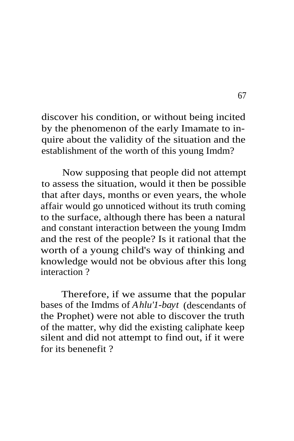discover his condition, or without being incited by the phenomenon of the early Imamate to inquire about the validity of the situation and the establishment of the worth of this young Imdm?

Now supposing that people did not attempt to assess the situation, would it then be possible that after days, months or even years, the whole affair would go unnoticed without its truth coming to the surface, although there has been a natural and constant interaction between the young Imdm and the rest of the people? Is it rational that the worth of a young child's way of thinking and knowledge would not be obvious after this long interaction ?

Therefore, if we assume that the popular bases of the Imdms of *Ahlu'1-bayt* (descendants of the Prophet) were not able to discover the truth of the matter, why did the existing caliphate keep silent and did not attempt to find out, if it were for its benenefit ?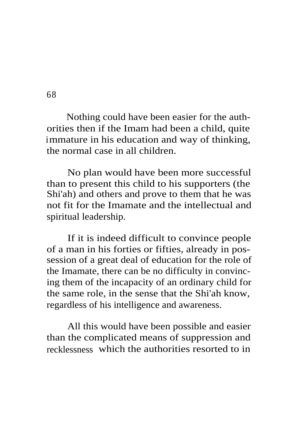Nothing could have been easier for the authorities then if the Imam had been a child, quite immature in his education and way of thinking, the normal case in all children.

No plan would have been more successful than to present this child to his supporters (the Shi'ah) and others and prove to them that he was not fit for the Imamate and the intellectual and spiritual leadership.

If it is indeed difficult to convince people of a man in his forties or fifties, already in possession of a great deal of education for the role of the Imamate, there can be no difficulty in convincing them of the incapacity of an ordinary child for the same role, in the sense that the Shi'ah know, regardless of his intelligence and awareness.

All this would have been possible and easier than the complicated means of suppression and recklessness which the authorities resorted to in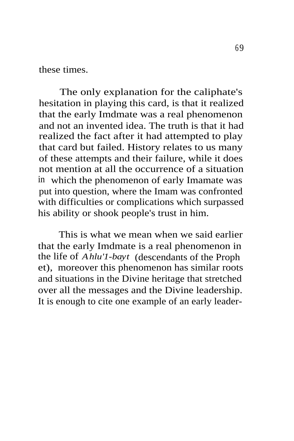these times.

The only explanation for the caliphate's hesitation in playing this card, is that it realized that the early Imdmate was a real phenomenon and not an invented idea. The truth is that it had realized the fact after it had attempted to play that card but failed. History relates to us many of these attempts and their failure, while it does not mention at all the occurrence of a situation in which the phenomenon of early Imamate was put into question, where the Imam was confronted with difficulties or complications which surpassed his ability or shook people's trust in him.

This is what we mean when we said earlier that the early Imdmate is a real phenomenon in the life of *Ahlu'1-bayt* (descendants of the Proph et), moreover this phenomenon has similar roots and situations in the Divine heritage that stretched over all the messages and the Divine leadership. It is enough to cite one example of an early leader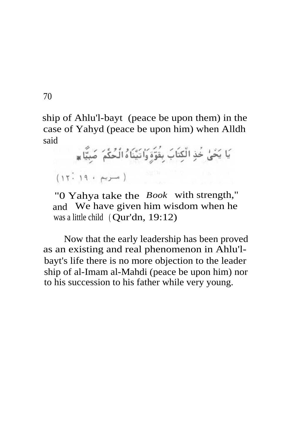ship of Ahlu'l-bayt (peace be upon them) in the case of Yahyd (peace be upon him) when Alldh said

يَا يَحْيُٰ خَذِ الْكِتَابَ بِقَوَّةٍ وَاتَيْنَاهُ الْحُكْمَ ۖ صَبِيًّا ۞  $(17.19 + \mu)$ 

"0 Yahya take the *Book* with strength," and We have given him wisdom when he was a little child ( Qur'dn, 19:12)

Now that the early leadership has been proved as an existing and real phenomenon in Ahlu'lbayt's life there is no more objection to the leader ship of al-Imam al-Mahdi (peace be upon him) nor to his succession to his father while very young.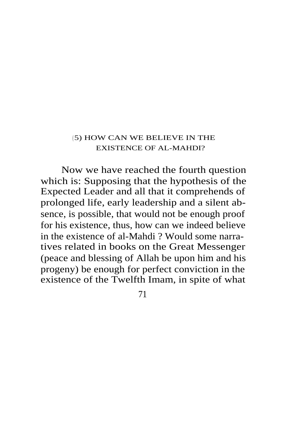#### ( 5) HOW CAN WE BELIEVE IN THE EXISTENCE OF AL-MAHDI?

Now we have reached the fourth question which is: Supposing that the hypothesis of the Expected Leader and all that it comprehends of prolonged life, early leadership and a silent absence, is possible, that would not be enough proof for his existence, thus, how can we indeed believe in the existence of al-Mahdi ? Would some narratives related in books on the Great Messenger (peace and blessing of Allah be upon him and his progeny) be enough for perfect conviction in the existence of the Twelfth Imam, in spite of what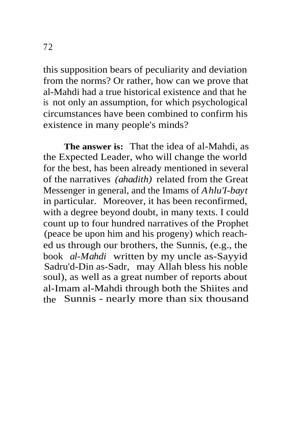this supposition bears of peculiarity and deviation from the norms? Or rather, how can we prove that al-Mahdi had a true historical existence and that he is not only an assumption, for which psychological circumstances have been combined to confirm his existence in many people's minds?

**The answer is:** That the idea of al-Mahdi, as the Expected Leader, who will change the world for the best, has been already mentioned in several of the narratives *(ahadith)* related from the Great Messenger in general, and the Imams of *Ahlu'I-bayt* in particular. Moreover, it has been reconfirmed, with a degree beyond doubt, in many texts. I could count up to four hundred narratives of the Prophet (peace be upon him and his progeny) which reached us through our brothers, the Sunnis, (e.g., the book *al-Mahdi* written by my uncle as-Sayyid Sadru'd-Din as-Sadr, may Allah bless his noble soul), as well as a great number of reports about al-Imam al-Mahdi through both the Shiites and the Sunnis - nearly more than six thousand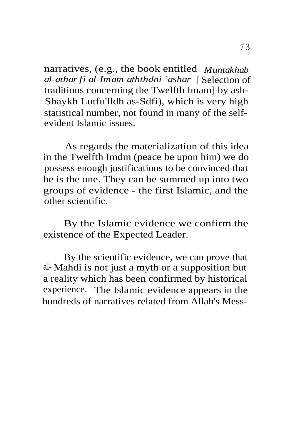narratives, (e.g., the book entitled *Muntakhab al-athar fi al-Imam aththdni `ashar* [ Selection of traditions concerning the Twelfth Imam] by ash-Shaykh Lutfu'lldh as-Sdfi), which is very high statistical number, not found in many of the selfevident Islamic issues.

As regards the materialization of this idea in the Twelfth Imdm (peace be upon him) we do possess enough justifications to be convinced that he is the one. They can be summed up into two groups of evidence - the first Islamic, and the other scientific.

By the Islamic evidence we confirm the existence of the Expected Leader.

By the scientific evidence, we can prove that al- Mahdi is not just a myth or a supposition but a reality which has been confirmed by historical experience. The Islamic evidence appears in the hundreds of narratives related from Allah's Mess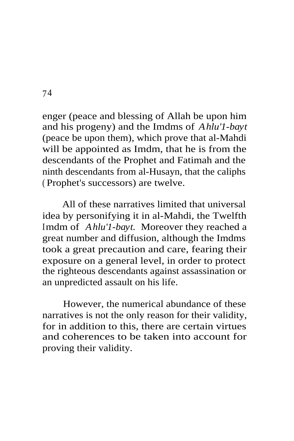enger (peace and blessing of Allah be upon him and his progeny) and the Imdms of *Ahlu'1-bayt* (peace be upon them), which prove that al-Mahdi will be appointed as Imdm, that he is from the descendants of the Prophet and Fatimah and the ninth descendants from al-Husayn, that the caliphs ( Prophet's successors) are twelve.

All of these narratives limited that universal idea by personifying it in al-Mahdi, the Twelfth Imdm of *Ahlu'1-bayt.* Moreover they reached a great number and diffusion, although the Imdms took a great precaution and care, fearing their exposure on a general level, in order to protect the righteous descendants against assassination or an unpredicted assault on his life.

However, the numerical abundance of these narratives is not the only reason for their validity, for in addition to this, there are certain virtues and coherences to be taken into account for proving their validity.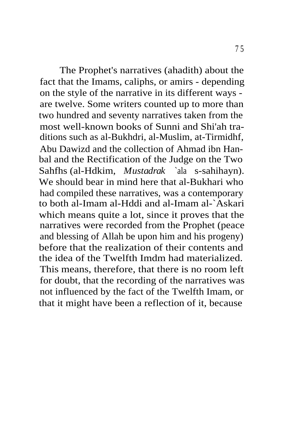The Prophet's narratives (ahadith) about the fact that the Imams, caliphs, or amirs - depending on the style of the narrative in its different ways are twelve. Some writers counted up to more than two hundred and seventy narratives taken from the most well-known books of Sunni and Shi'ah traditions such as al-Bukhdri, al-Muslim, at-Tirmidhf, Abu Dawizd and the collection of Ahmad ibn Hanbal and the Rectification of the Judge on the Two Sahfhs (al-Hdkim, *Mustadrak* `ala s-sahihayn). We should bear in mind here that al-Bukhari who had compiled these narratives, was a contemporary to both al-Imam al-Hddi and al-Imam al-`Askari which means quite a lot, since it proves that the narratives were recorded from the Prophet (peace and blessing of Allah be upon him and his progeny) before that the realization of their contents and the idea of the Twelfth Imdm had materialized. This means, therefore, that there is no room left for doubt, that the recording of the narratives was not influenced by the fact of the Twelfth Imam, or that it might have been a reflection of it, because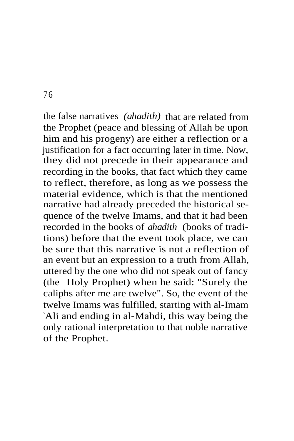the false narratives *(ahadith)* that are related from the Prophet (peace and blessing of Allah be upon him and his progeny) are either a reflection or a justification for a fact occurring later in time. Now, they did not precede in their appearance and recording in the books, that fact which they came to reflect, therefore, as long as we possess the material evidence, which is that the mentioned narrative had already preceded the historical sequence of the twelve Imams, and that it had been recorded in the books of *ahadith* (books of traditions) before that the event took place, we can be sure that this narrative is not a reflection of an event but an expression to a truth from Allah, uttered by the one who did not speak out of fancy (the Holy Prophet) when he said: "Surely the caliphs after me are twelve". So, the event of the twelve Imams was fulfilled, starting with al-Imam `Ali and ending in al-Mahdi, this way being the only rational interpretation to that noble narrative of the Prophet.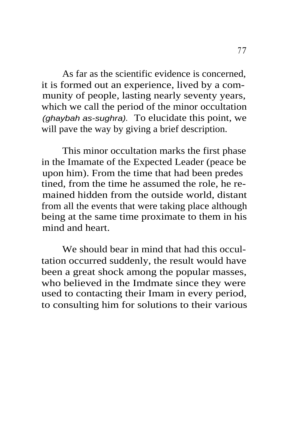As far as the scientific evidence is concerned, it is formed out an experience, lived by a community of people, lasting nearly seventy years, which we call the period of the minor occultation (ghaybah as-sughra). To elucidate this point, we will pave the way by giving a brief description.

This minor occultation marks the first phase in the Imamate of the Expected Leader (peace be upon him). From the time that had been predes tined, from the time he assumed the role, he remained hidden from the outside world, distant from all the events that were taking place although being at the same time proximate to them in his mind and heart.

We should bear in mind that had this occultation occurred suddenly, the result would have been a great shock among the popular masses, who believed in the Imdmate since they were used to contacting their Imam in every period, to consulting him for solutions to their various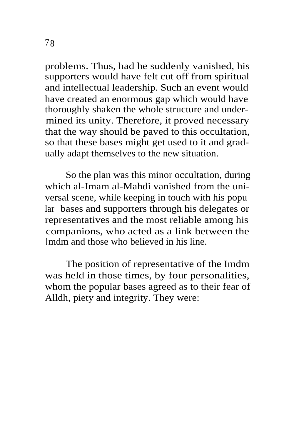problems. Thus, had he suddenly vanished, his supporters would have felt cut off from spiritual and intellectual leadership. Such an event would have created an enormous gap which would have thoroughly shaken the whole structure and undermined its unity. Therefore, it proved necessary that the way should be paved to this occultation, so that these bases might get used to it and gradually adapt themselves to the new situation.

So the plan was this minor occultation, during which al-Imam al-Mahdi vanished from the universal scene, while keeping in touch with his popu lar bases and supporters through his delegates or representatives and the most reliable among his companions, who acted as a link between the Imdm and those who believed in his line.

The position of representative of the Imdm was held in those times, by four personalities, whom the popular bases agreed as to their fear of Alldh, piety and integrity. They were: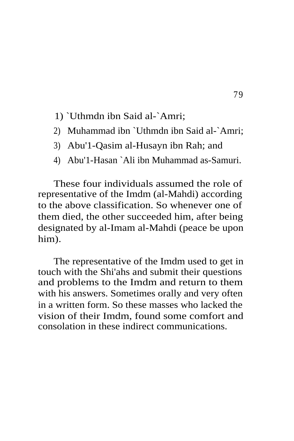- 1) `Uthmdn ibn Said al-`Amri;
- 2) Muhammad ibn `Uthmdn ibn Said al-`Amri;
- 3) Abu'1-Qasim al-Husayn ibn Rah; and
- 4) Abu'1-Hasan `Ali ibn Muhammad as-Samuri.

These four individuals assumed the role of representative of the Imdm (al-Mahdi) according to the above classification. So whenever one of them died, the other succeeded him, after being designated by al-Imam al-Mahdi (peace be upon him).

The representative of the Imdm used to get in touch with the Shi'ahs and submit their questions and problems to the Imdm and return to them with his answers. Sometimes orally and very often in a written form. So these masses who lacked the vision of their Imdm, found some comfort and consolation in these indirect communications.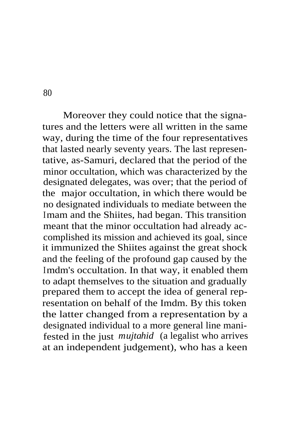Moreover they could notice that the signatures and the letters were all written in the same way, during the time of the four representatives that lasted nearly seventy years. The last representative, as-Samuri, declared that the period of the minor occultation, which was characterized by the designated delegates, was over; that the period of the major occultation, in which there would be no designated individuals to mediate between the Imam and the Shiites, had began. This transition meant that the minor occultation had already accomplished its mission and achieved its goal, since it immunized the Shiites against the great shock and the feeling of the profound gap caused by the Imdm's occultation. In that way, it enabled them to adapt themselves to the situation and gradually prepared them to accept the idea of general representation on behalf of the Imdm. By this token the latter changed from a representation by a designated individual to a more general line manifested in the just *mujtahid* (a legalist who arrives at an independent judgement), who has a keen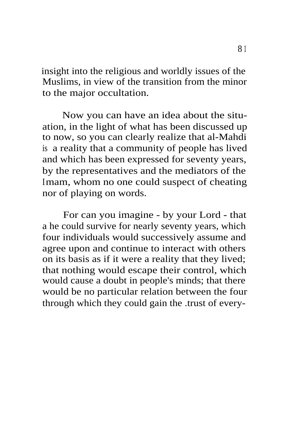insight into the religious and worldly issues of the Muslims, in view of the transition from the minor to the major occultation.

Now you can have an idea about the situation, in the light of what has been discussed up to now, so you can clearly realize that al-Mahdi is a reality that a community of people has lived and which has been expressed for seventy years, by the representatives and the mediators of the Imam, whom no one could suspect of cheating nor of playing on words.

For can you imagine - by your Lord - that a he could survive for nearly seventy years, which four individuals would successively assume and agree upon and continue to interact with others on its basis as if it were a reality that they lived; that nothing would escape their control, which would cause a doubt in people's minds; that there would be no particular relation between the four through which they could gain the .trust of every-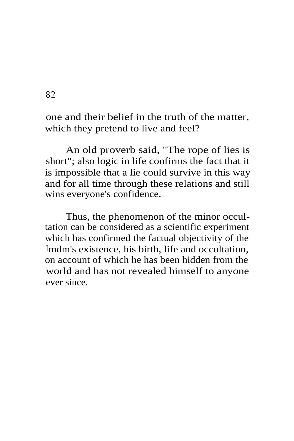one and their belief in the truth of the matter, which they pretend to live and feel?

An old proverb said, "The rope of lies is short"; also logic in life confirms the fact that it is impossible that a lie could survive in this way and for all time through these relations and still wins everyone's confidence.

Thus, the phenomenon of the minor occultation can be considered as a scientific experiment which has confirmed the factual objectivity of the Imdm's existence, his birth, life and occultation, on account of which he has been hidden from the world and has not revealed himself to anyone ever since.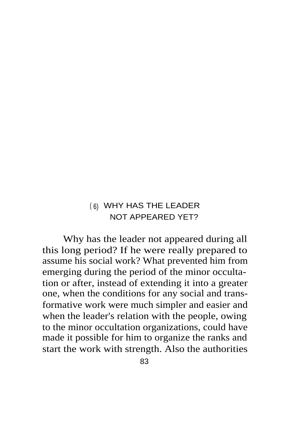## ( 6) WHY HAS THE LEADER NOT APPEARED YET?

Why has the leader not appeared during all this long period? If he were really prepared to assume his social work? What prevented him from emerging during the period of the minor occultation or after, instead of extending it into a greater one, when the conditions for any social and transformative work were much simpler and easier and when the leader's relation with the people, owing to the minor occultation organizations, could have made it possible for him to organize the ranks and start the work with strength. Also the authorities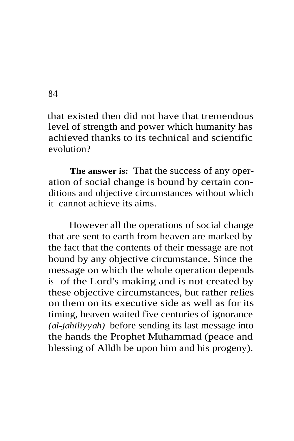that existed then did not have that tremendous level of strength and power which humanity has achieved thanks to its technical and scientific evolution?

**The answer is:** That the success of any operation of social change is bound by certain conditions and objective circumstances without which it cannot achieve its aims.

However all the operations of social change that are sent to earth from heaven are marked by the fact that the contents of their message are not bound by any objective circumstance. Since the message on which the whole operation depends is of the Lord's making and is not created by these objective circumstances, but rather relies on them on its executive side as well as for its timing, heaven waited five centuries of ignorance *(al-jahiliyyah)* before sending its last message into the hands the Prophet Muhammad (peace and blessing of Alldh be upon him and his progeny),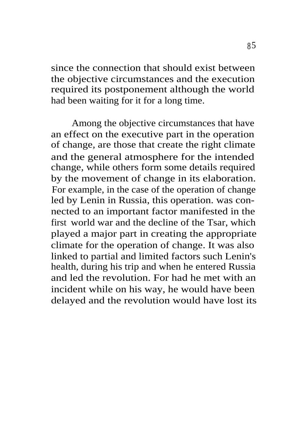since the connection that should exist between the objective circumstances and the execution required its postponement although the world had been waiting for it for a long time.

Among the objective circumstances that have an effect on the executive part in the operation of change, are those that create the right climate and the general atmosphere for the intended change, while others form some details required by the movement of change in its elaboration. For example, in the case of the operation of change led by Lenin in Russia, this operation. was connected to an important factor manifested in the first world war and the decline of the Tsar, which played a major part in creating the appropriate climate for the operation of change. It was also linked to partial and limited factors such Lenin's health, during his trip and when he entered Russia and led the revolution. For had he met with an incident while on his way, he would have been delayed and the revolution would have lost its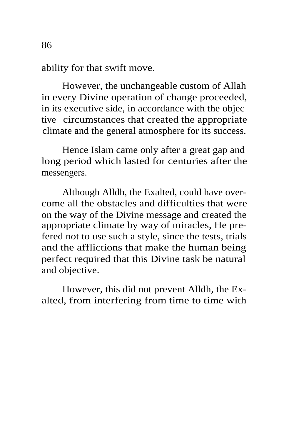ability for that swift move.

However, the unchangeable custom of Allah in every Divine operation of change proceeded, in its executive side, in accordance with the objec tive circumstances that created the appropriate climate and the general atmosphere for its success.

Hence Islam came only after a great gap and long period which lasted for centuries after the messengers.

Although Alldh, the Exalted, could have overcome all the obstacles and difficulties that were on the way of the Divine message and created the appropriate climate by way of miracles, He prefered not to use such a style, since the tests, trials and the afflictions that make the human being perfect required that this Divine task be natural and objective.

However, this did not prevent Alldh, the Exalted, from interfering from time to time with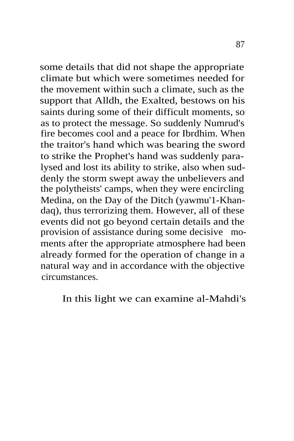some details that did not shape the appropriate climate but which were sometimes needed for the movement within such a climate, such as the support that Alldh, the Exalted, bestows on his saints during some of their difficult moments, so as to protect the message. So suddenly Numrud's fire becomes cool and a peace for Ibrdhim. When the traitor's hand which was bearing the sword to strike the Prophet's hand was suddenly paralysed and lost its ability to strike, also when suddenly the storm swept away the unbelievers and the polytheists' camps, when they were encircling Medina, on the Day of the Ditch (yawmu'1-Khandaq), thus terrorizing them. However, all of these events did not go beyond certain details and the provision of assistance during some decisive moments after the appropriate atmosphere had been already formed for the operation of change in a natural way and in accordance with the objective circumstances.

In this light we can examine al-Mahdi's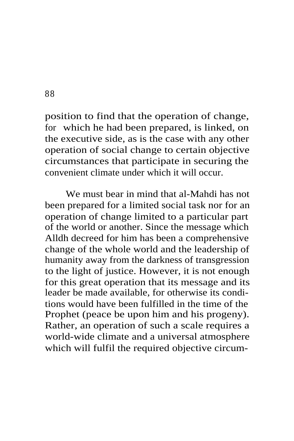position to find that the operation of change, for which he had been prepared, is linked, on the executive side, as is the case with any other operation of social change to certain objective circumstances that participate in securing the convenient climate under which it will occur.

We must bear in mind that al-Mahdi has not been prepared for a limited social task nor for an operation of change limited to a particular part of the world or another. Since the message which Alldh decreed for him has been a comprehensive change of the whole world and the leadership of humanity away from the darkness of transgression to the light of justice. However, it is not enough for this great operation that its message and its leader be made available, for otherwise its conditions would have been fulfilled in the time of the Prophet (peace be upon him and his progeny). Rather, an operation of such a scale requires a world-wide climate and a universal atmosphere which will fulfil the required objective circum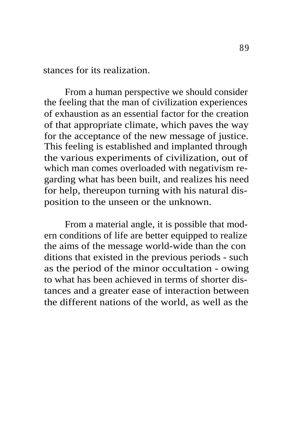stances for its realization.

From a human perspective we should consider the feeling that the man of civilization experiences of exhaustion as an essential factor for the creation of that appropriate climate, which paves the way for the acceptance of the new message of justice. This feeling is established and implanted through the various experiments of civilization, out of which man comes overloaded with negativism regarding what has been built, and realizes his need for help, thereupon turning with his natural disposition to the unseen or the unknown.

From a material angle, it is possible that modern conditions of life are better equipped to realize the aims of the message world-wide than the con ditions that existed in the previous periods - such as the period of the minor occultation - owing to what has been achieved in terms of shorter distances and a greater ease of interaction between the different nations of the world, as well as the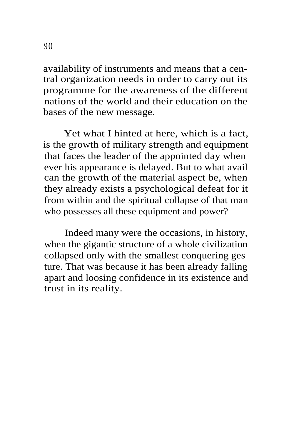availability of instruments and means that a central organization needs in order to carry out its programme for the awareness of the different nations of the world and their education on the bases of the new message.

Yet what I hinted at here, which is a fact, is the growth of military strength and equipment that faces the leader of the appointed day when ever his appearance is delayed. But to what avail can the growth of the material aspect be, when they already exists a psychological defeat for it from within and the spiritual collapse of that man who possesses all these equipment and power?

Indeed many were the occasions, in history, when the gigantic structure of a whole civilization collapsed only with the smallest conquering ges ture. That was because it has been already falling apart and loosing confidence in its existence and trust in its reality.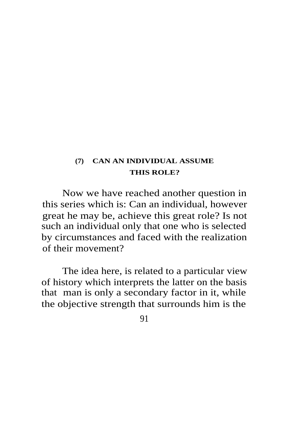## **(7) CAN AN INDIVIDUAL ASSUME THIS ROLE?**

Now we have reached another question in this series which is: Can an individual, however great he may be, achieve this great role? Is not such an individual only that one who is selected by circumstances and faced with the realization of their movement?

The idea here, is related to a particular view of history which interprets the latter on the basis that man is only a secondary factor in it, while the objective strength that surrounds him is the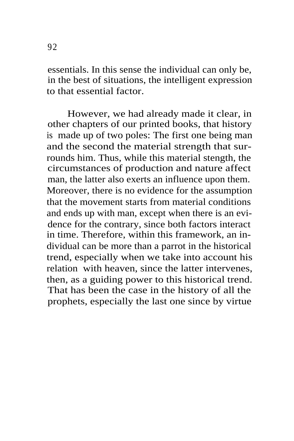essentials. In this sense the individual can only be, in the best of situations, the intelligent expression to that essential factor.

However, we had already made it clear, in other chapters of our printed books, that history is made up of two poles: The first one being man and the second the material strength that surrounds him. Thus, while this material stength, the circumstances of production and nature affect man, the latter also exerts an influence upon them. Moreover, there is no evidence for the assumption that the movement starts from material conditions and ends up with man, except when there is an evidence for the contrary, since both factors interact in time. Therefore, within this framework, an individual can be more than a parrot in the historical trend, especially when we take into account his relation with heaven, since the latter intervenes, then, as a guiding power to this historical trend. That has been the case in the history of all the prophets, especially the last one since by virtue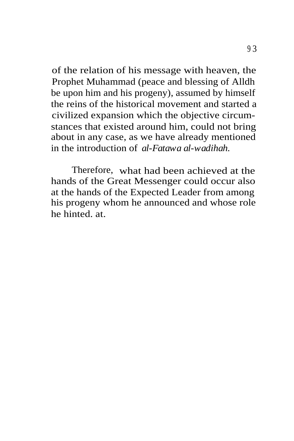of the relation of his message with heaven, the Prophet Muhammad (peace and blessing of Alldh be upon him and his progeny), assumed by himself the reins of the historical movement and started a civilized expansion which the objective circumstances that existed around him, could not bring about in any case, as we have already mentioned in the introduction of *al-Fatawa al-wadihah.*

Therefore, what had been achieved at the hands of the Great Messenger could occur also at the hands of the Expected Leader from among his progeny whom he announced and whose role he hinted. at.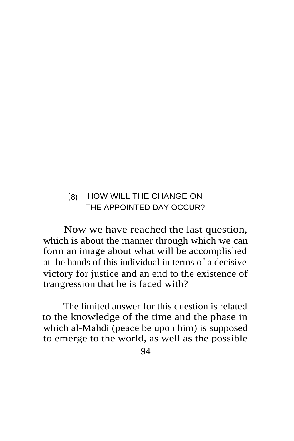## (8) HOW WILL THE CHANGE ON THE APPOINTED DAY OCCUR?

Now we have reached the last question, which is about the manner through which we can form an image about what will be accomplished at the hands of this individual in terms of a decisive victory for justice and an end to the existence of trangression that he is faced with?

The limited answer for this question is related to the knowledge of the time and the phase in which al-Mahdi (peace be upon him) is supposed to emerge to the world, as well as the possible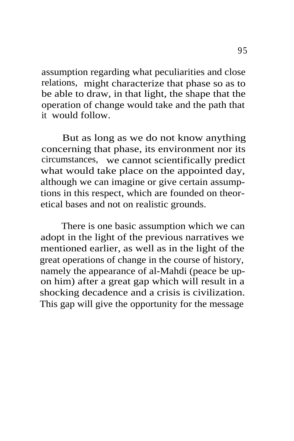assumption regarding what peculiarities and close relations, might characterize that phase so as to be able to draw, in that light, the shape that the operation of change would take and the path that it would follow.

But as long as we do not know anything concerning that phase, its environment nor its circumstances, we cannot scientifically predict what would take place on the appointed day, although we can imagine or give certain assumptions in this respect, which are founded on theoretical bases and not on realistic grounds.

There is one basic assumption which we can adopt in the light of the previous narratives we mentioned earlier, as well as in the light of the great operations of change in the course of history, namely the appearance of al-Mahdi (peace be upon him) after a great gap which will result in a shocking decadence and a crisis is civilization. This gap will give the opportunity for the message